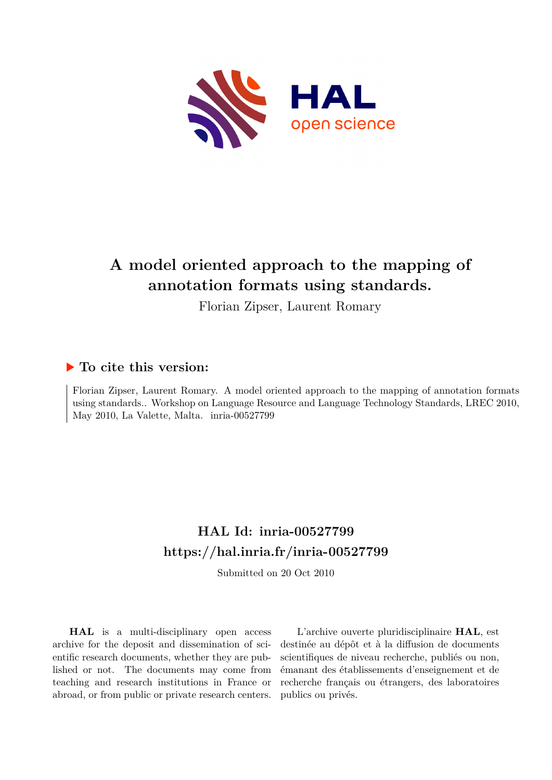

# **A model oriented approach to the mapping of annotation formats using standards.**

Florian Zipser, Laurent Romary

#### **To cite this version:**

Florian Zipser, Laurent Romary. A model oriented approach to the mapping of annotation formats using standards.. Workshop on Language Resource and Language Technology Standards, LREC 2010, May 2010, La Valette, Malta. inria-00527799

## **HAL Id: inria-00527799 <https://hal.inria.fr/inria-00527799>**

Submitted on 20 Oct 2010

**HAL** is a multi-disciplinary open access archive for the deposit and dissemination of scientific research documents, whether they are published or not. The documents may come from teaching and research institutions in France or abroad, or from public or private research centers.

L'archive ouverte pluridisciplinaire **HAL**, est destinée au dépôt et à la diffusion de documents scientifiques de niveau recherche, publiés ou non, émanant des établissements d'enseignement et de recherche français ou étrangers, des laboratoires publics ou privés.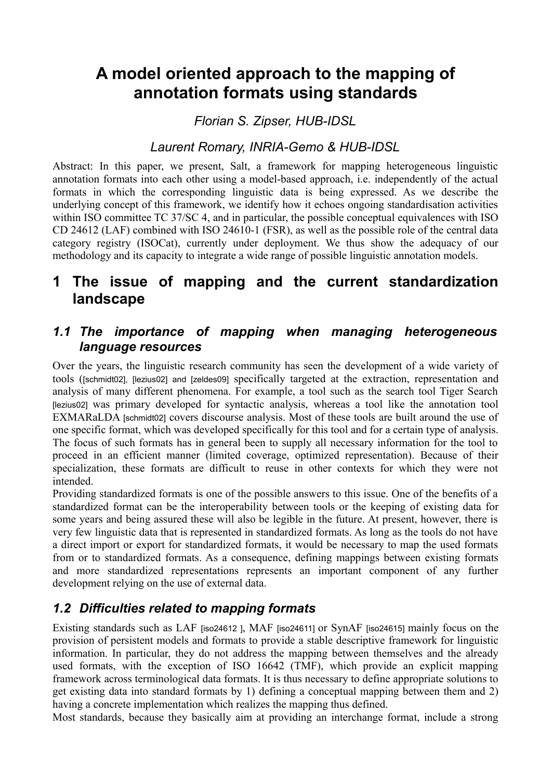# **A model oriented approach to the mapping of annotation formats using standards**

*Florian S. Zipser, HUB-IDSL*

### *Laurent Romary, INRIA-Gemo & HUB-IDSL*

Abstract: In this paper, we present, Salt, a framework for mapping heterogeneous linguistic annotation formats into each other using a model-based approach, i.e. independently of the actual formats in which the corresponding linguistic data is being expressed. As we describe the underlying concept of this framework, we identify how it echoes ongoing standardisation activities within ISO committee TC 37/SC 4, and in particular, the possible conceptual equivalences with ISO CD 24612 (LAF) combined with ISO 24610-1 (FSR), as well as the possible role of the central data category registry (ISOCat), currently under deployment. We thus show the adequacy of our methodology and its capacity to integrate a wide range of possible linguistic annotation models.

## **1 The issue of mapping and the current standardization landscape**

#### *1.1 The importance of mapping when managing heterogeneous language resources*

Over the years, the linguistic research community has seen the development of a wide variety of tools ([\[schmidt02\],](#page-12-4) [\[lezius02\]](#page-12-0) and [\[zeldes09\]](#page-12-5) specifically targeted at the extraction, representation and analysis of many different phenomena. For example, a tool such as the search tool Tiger Search [\[lezius02\]](#page-12-0) was primary developed for syntactic analysis, whereas a tool like the annotation tool EXMARaLDA [\[schmidt02\]](#page-12-4) covers discourse analysis. Most of these tools are built around the use of one specific format, which was developed specifically for this tool and for a certain type of analysis. The focus of such formats has in general been to supply all necessary information for the tool to proceed in an efficient manner (limited coverage, optimized representation). Because of their specialization, these formats are difficult to reuse in other contexts for which they were not intended.

Providing standardized formats is one of the possible answers to this issue. One of the benefits of a standardized format can be the interoperability between tools or the keeping of existing data for some years and being assured these will also be legible in the future. At present, however, there is very few linguistic data that is represented in standardized formats. As long as the tools do not have a direct import or export for standardized formats, it would be necessary to map the used formats from or to standardized formats. As a consequence, defining mappings between existing formats and more standardized representations represents an important component of any further development relying on the use of external data.

## *1.2 Difficulties related to mapping formats*

Existing standards such as LAF [\[iso24612 \]](#page-12-3), MAF [\[iso24611\]](#page-12-2) or SynAF [\[iso24615\]](#page-12-1) mainly focus on the provision of persistent models and formats to provide a stable descriptive framework for linguistic information. In particular, they do not address the mapping between themselves and the already used formats, with the exception of ISO 16642 (TMF), which provide an explicit mapping framework across terminological data formats. It is thus necessary to define appropriate solutions to get existing data into standard formats by 1) defining a conceptual mapping between them and 2) having a concrete implementation which realizes the mapping thus defined.

Most standards, because they basically aim at providing an interchange format, include a strong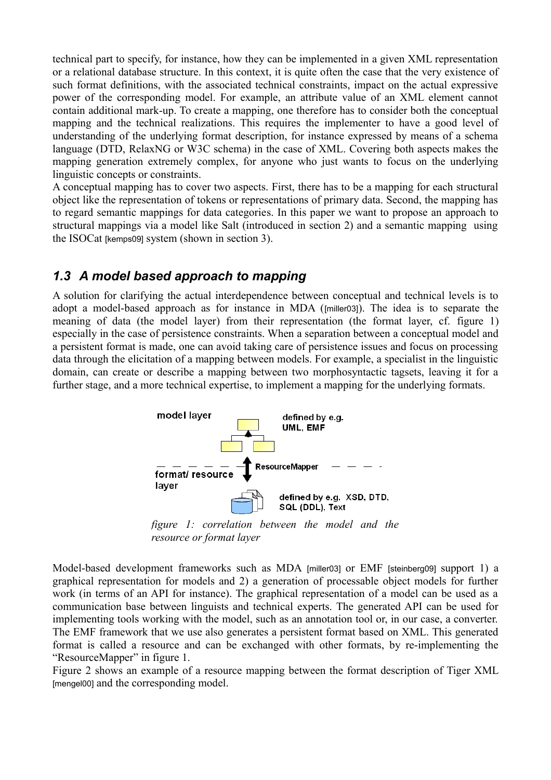technical part to specify, for instance, how they can be implemented in a given XML representation or a relational database structure. In this context, it is quite often the case that the very existence of such format definitions, with the associated technical constraints, impact on the actual expressive power of the corresponding model. For example, an attribute value of an XML element cannot contain additional mark-up. To create a mapping, one therefore has to consider both the conceptual mapping and the technical realizations. This requires the implementer to have a good level of understanding of the underlying format description, for instance expressed by means of a schema language (DTD, RelaxNG or W3C schema) in the case of XML. Covering both aspects makes the mapping generation extremely complex, for anyone who just wants to focus on the underlying linguistic concepts or constraints.

A conceptual mapping has to cover two aspects. First, there has to be a mapping for each structural object like the representation of tokens or representations of primary data. Second, the mapping has to regard semantic mappings for data categories. In this paper we want to propose an approach to structural mappings via a model like Salt (introduced in section 2) and a semantic mapping using the ISOCat [\[kemps09\]](#page-12-9) system (shown in section 3).

#### *1.3 A model based approach to mapping*

A solution for clarifying the actual interdependence between conceptual and technical levels is to adopt a model-based approach as for instance in MDA ([\[miller03\]](#page-12-8)). The idea is to separate the meaning of data (the model layer) from their representation (the format layer, cf. [figure 1\)](#page-2-0) especially in the case of persistence constraints. When a separation between a conceptual model and a persistent format is made, one can avoid taking care of persistence issues and focus on processing data through the elicitation of a mapping between models. For example, a specialist in the linguistic domain, can create or describe a mapping between two morphosyntactic tagsets, leaving it for a further stage, and a more technical expertise, to implement a mapping for the underlying formats.



<span id="page-2-0"></span>*figure 1: correlation between the model and the resource or format layer*

Model-based development frameworks such as MDA [\[miller03\]](#page-12-8) or EMF [\[steinberg09\]](#page-12-7) support 1) a graphical representation for models and 2) a generation of processable object models for further work (in terms of an API for instance). The graphical representation of a model can be used as a communication base between linguists and technical experts. The generated API can be used for implementing tools working with the model, such as an annotation tool or, in our case, a converter. The EMF framework that we use also generates a persistent format based on XML. This generated format is called a resource and can be exchanged with other formats, by re-implementing the "ResourceMapper" in [figure 1.](#page-2-0)

Figure [2](#page-3-0) shows an example of a resource mapping between the format description of Tiger XML [\[mengel00\]](#page-12-6) and the corresponding model.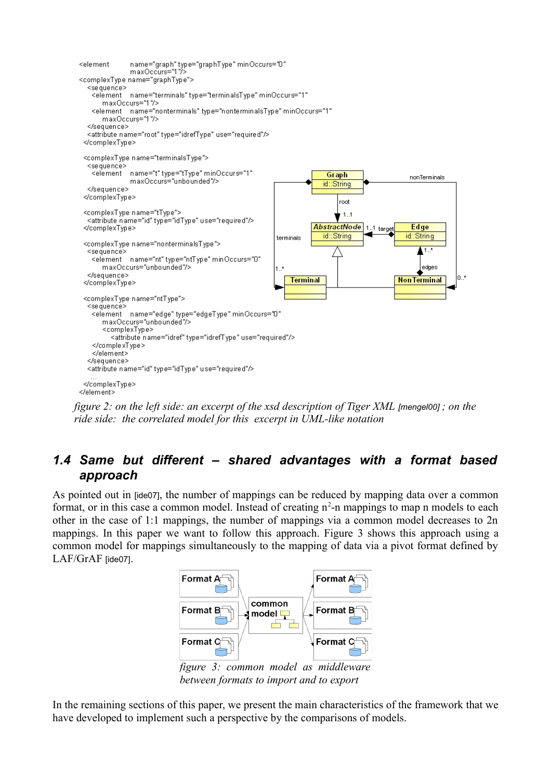

<span id="page-3-0"></span>*figure 2: on the left side: an excerpt of the xsd description of Tiger XML [\[mengel00\]](#page-12-6) ; on the ride side: the correlated model for this excerpt in UML-like notation*

#### *1.4 Same but different – shared advantages with a format based approach*

As pointed out in [\[ide07\]](#page-12-10), the number of mappings can be reduced by mapping data over a common format, or in this case a common model. Instead of creating  $n^2$ -n mappings to map n models to each other in the case of 1:1 mappings, the number of mappings via a common model decreases to 2n mappings. In this paper we want to follow this approach. Figure [3](#page-3-1) shows this approach using a common model for mappings simultaneously to the mapping of data via a pivot format defined by LAF/GrAF [\[ide07\]](#page-12-10).



<span id="page-3-1"></span>*figure 3: common model as middleware between formats to import and to export*

In the remaining sections of this paper, we present the main characteristics of the framework that we have developed to implement such a perspective by the comparisons of models.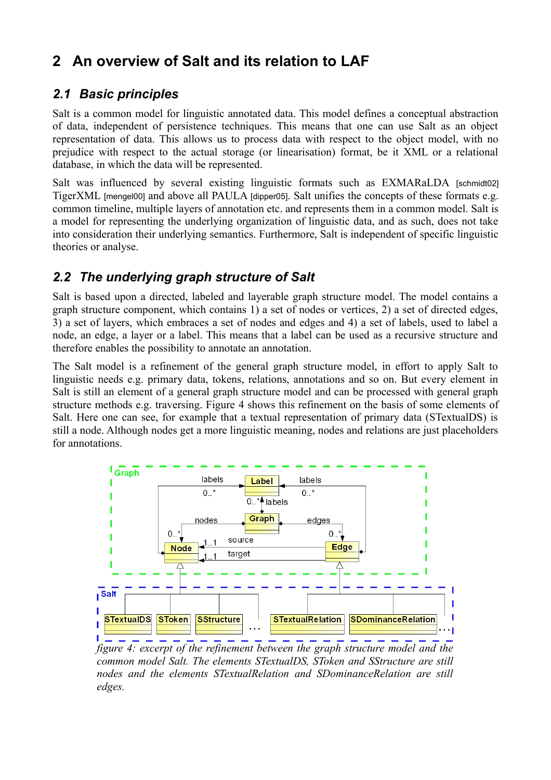## **2 An overview of Salt and its relation to LAF**

### *2.1 Basic principles*

Salt is a common model for linguistic annotated data. This model defines a conceptual abstraction of data, independent of persistence techniques. This means that one can use Salt as an object representation of data. This allows us to process data with respect to the object model, with no prejudice with respect to the actual storage (or linearisation) format, be it XML or a relational database, in which the data will be represented.

Salt was influenced by several existing linguistic formats such as EXMARaLDA [\[schmidt02\]](#page-12-4) TigerXML [\[mengel00\]](#page-12-6) and above all PAULA [\[dipper05\]](#page-12-11). Salt unifies the concepts of these formats e.g. common timeline, multiple layers of annotation etc. and represents them in a common model. Salt is a model for representing the underlying organization of linguistic data, and as such, does not take into consideration their underlying semantics. Furthermore, Salt is independent of specific linguistic theories or analyse.

### *2.2 The underlying graph structure of Salt*

Salt is based upon a directed, labeled and layerable graph structure model. The model contains a graph structure component, which contains 1) a set of nodes or vertices, 2) a set of directed edges, 3) a set of layers, which embraces a set of nodes and edges and 4) a set of labels, used to label a node, an edge, a layer or a label. This means that a label can be used as a recursive structure and therefore enables the possibility to annotate an annotation.

The Salt model is a refinement of the general graph structure model, in effort to apply Salt to linguistic needs e.g. primary data, tokens, relations, annotations and so on. But every element in Salt is still an element of a general graph structure model and can be processed with general graph structure methods e.g. traversing. Figure [4](#page-4-0) shows this refinement on the basis of some elements of Salt. Here one can see, for example that a textual representation of primary data (STextualDS) is still a node. Although nodes get a more linguistic meaning, nodes and relations are just placeholders for annotations.



<span id="page-4-0"></span>*figure 4: excerpt of the refinement between the graph structure model and the common model Salt. The elements STextualDS, SToken and SStructure are still nodes and the elements STextualRelation and SDominanceRelation are still edges.*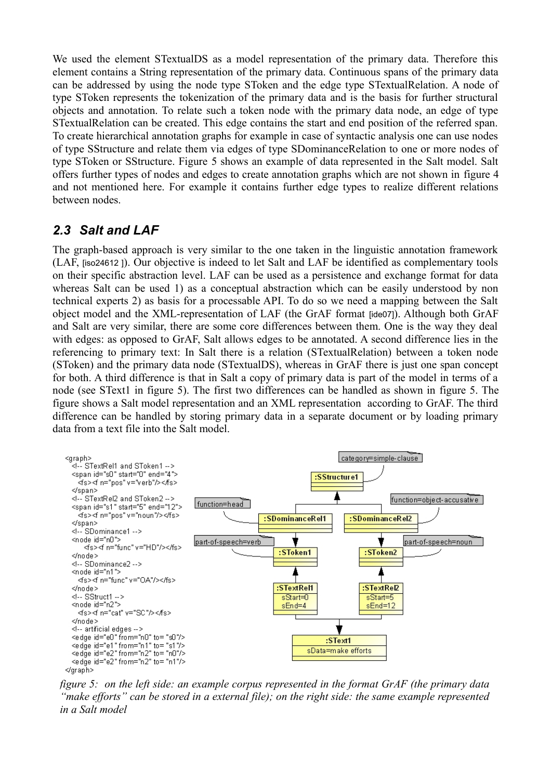We used the element STextualDS as a model representation of the primary data. Therefore this element contains a String representation of the primary data. Continuous spans of the primary data can be addressed by using the node type SToken and the edge type STextualRelation. A node of type SToken represents the tokenization of the primary data and is the basis for further structural objects and annotation. To relate such a token node with the primary data node, an edge of type STextualRelation can be created. This edge contains the start and end position of the referred span. To create hierarchical annotation graphs for example in case of syntactic analysis one can use nodes of type SStructure and relate them via edges of type SDominanceRelation to one or more nodes of type SToken or SStructure. Figure [5](#page-5-0) shows an example of data represented in the Salt model. Salt offers further types of nodes and edges to create annotation graphs which are not shown in [figure 4](#page-4-0) and not mentioned here. For example it contains further edge types to realize different relations between nodes.

#### *2.3 Salt and LAF*

The graph-based approach is very similar to the one taken in the linguistic annotation framework (LAF, [\[iso24612 \]](#page-12-3)). Our objective is indeed to let Salt and LAF be identified as complementary tools on their specific abstraction level. LAF can be used as a persistence and exchange format for data whereas Salt can be used 1) as a conceptual abstraction which can be easily understood by non technical experts 2) as basis for a processable API. To do so we need a mapping between the Salt object model and the XML-representation of LAF (the GrAF format [\[ide07\]](#page-12-10)). Although both GrAF and Salt are very similar, there are some core differences between them. One is the way they deal with edges: as opposed to GrAF, Salt allows edges to be annotated. A second difference lies in the referencing to primary text: In Salt there is a relation (STextualRelation) between a token node (SToken) and the primary data node (STextualDS), whereas in GrAF there is just one span concept for both. A third difference is that in Salt a copy of primary data is part of the model in terms of a node (see SText1 in [figure 5\)](#page-5-0). The first two differences can be handled as shown in [figure 5.](#page-5-0) The figure shows a Salt model representation and an XML representation according to GrAF. The third difference can be handled by storing primary data in a separate document or by loading primary data from a text file into the Salt model.



<span id="page-5-0"></span>*figure 5: on the left side: an example corpus represented in the format GrAF (the primary data "make efforts" can be stored in a external file); on the right side: the same example represented in a Salt model*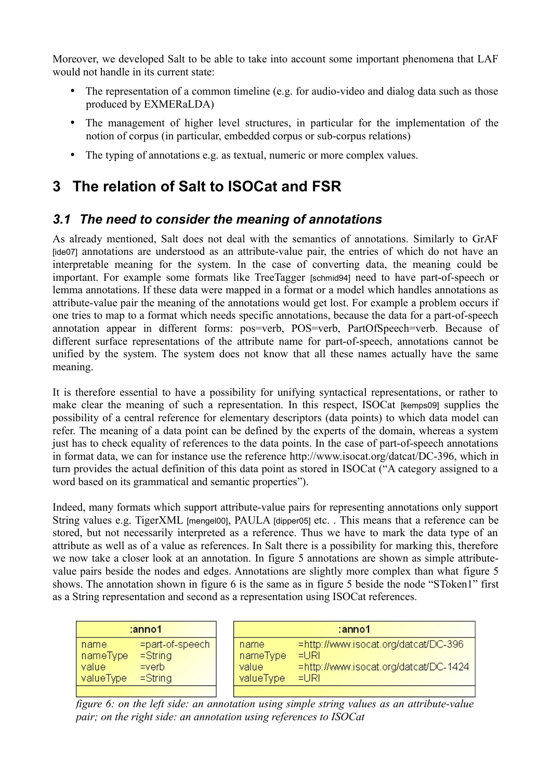Moreover, we developed Salt to be able to take into account some important phenomena that LAF would not handle in its current state:

- The representation of a common timeline (e.g. for audio-video and dialog data such as those produced by EXMERaLDA)
- The management of higher level structures, in particular for the implementation of the notion of corpus (in particular, embedded corpus or sub-corpus relations)
- The typing of annotations e.g. as textual, numeric or more complex values.

## **3 The relation of Salt to ISOCat and FSR**

#### *3.1 The need to consider the meaning of annotations*

As already mentioned, Salt does not deal with the semantics of annotations. Similarly to GrAF [\[ide07\]](#page-12-10) annotations are understood as an attribute-value pair, the entries of which do not have an interpretable meaning for the system. In the case of converting data, the meaning could be important. For example some formats like TreeTagger [\[schmid94\]](#page-12-12) need to have part-of-speech or lemma annotations. If these data were mapped in a format or a model which handles annotations as attribute-value pair the meaning of the annotations would get lost. For example a problem occurs if one tries to map to a format which needs specific annotations, because the data for a part-of-speech annotation appear in different forms: pos=verb, POS=verb, PartOfSpeech=verb. Because of different surface representations of the attribute name for part-of-speech, annotations cannot be unified by the system. The system does not know that all these names actually have the same meaning.

It is therefore essential to have a possibility for unifying syntactical representations, or rather to make clear the meaning of such a representation. In this respect, ISOCat [\[kemps09\]](#page-12-9) supplies the possibility of a central reference for elementary descriptors (data points) to which data model can refer. The meaning of a data point can be defined by the experts of the domain, whereas a system just has to check equality of references to the data points. In the case of part-of-speech annotations in format data, we can for instance use the reference http://www.isocat.org/datcat/DC-396, which in turn provides the actual definition of this data point as stored in ISOCat ("A category assigned to a word based on its grammatical and semantic properties").

Indeed, many formats which support attribute-value pairs for representing annotations only support String values e.g. TigerXML [\[mengel00\]](#page-12-6), PAULA [\[dipper05\]](#page-12-11) etc. . This means that a reference can be stored, but not necessarily interpreted as a reference. Thus we have to mark the data type of an attribute as well as of a value as references. In Salt there is a possibility for marking this, therefore we now take a closer look at an annotation. In [figure 5](#page-5-0) annotations are shown as simple attributevalue pairs beside the nodes and edges. Annotations are slightly more complex than what [figure 5](#page-5-0) shows. The annotation shown in [figure 6](#page-6-0) is the same as in [figure 5](#page-5-0) beside the node "SToken1" first as a String representation and second as a representation using ISOCat references.

| :anno1                                                                                                |  |                                        | $: \mathsf{anno1}$                                                                               |
|-------------------------------------------------------------------------------------------------------|--|----------------------------------------|--------------------------------------------------------------------------------------------------|
| =part-of-speech<br>I name<br>nameType<br>$=$ String<br>$=$ verb<br>  value<br>$=$ String<br>valueType |  | name<br>nameType<br>value<br>valueType | =http://www.isocat.org/datcat/DC-396<br>$=$ URI<br>=http://www.isocat.org/datcat/DC-1424<br>≡URI |
|                                                                                                       |  |                                        |                                                                                                  |

<span id="page-6-0"></span>*figure 6: on the left side: an annotation using simple string values as an attribute-value pair; on the right side: an annotation using references to ISOCat*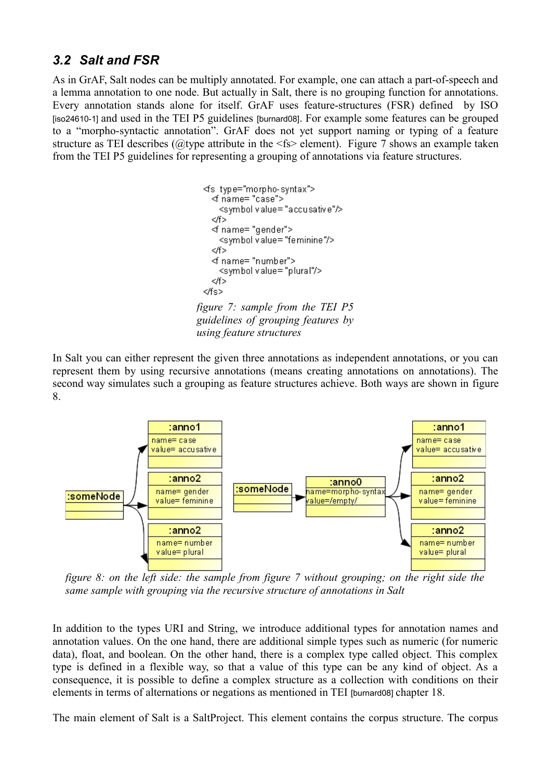### *3.2 Salt and FSR*

As in GrAF, Salt nodes can be multiply annotated. For example, one can attach a part-of-speech and a lemma annotation to one node. But actually in Salt, there is no grouping function for annotations. Every annotation stands alone for itself. GrAF uses feature-structures (FSR) defined by ISO [\[iso24610-1\]](#page-12-14) and used in the TEI P5 guidelines [\[burnard08\]](#page-12-13). For example some features can be grouped to a "morpho-syntactic annotation". GrAF does not yet support naming or typing of a feature structure as TEI describes ( $@$ type attribute in the  $\le$ fs> element). Figure [7](#page-7-1) shows an example taken from the TEI P5 guidelines for representing a grouping of annotations via feature structures.

<span id="page-7-1"></span>

In Salt you can either represent the given three annotations as independent annotations, or you can represent them by using recursive annotations (means creating annotations on annotations). The second way simulates such a grouping as feature structures achieve. Both ways are shown in [figure](#page-7-0) [8.](#page-7-0)



<span id="page-7-0"></span>*figure 8: on the left side: the sample from figure 7 without grouping; on the right side the same sample with grouping via the recursive structure of annotations in Salt*

In addition to the types URI and String, we introduce additional types for annotation names and annotation values. On the one hand, there are additional simple types such as numeric (for numeric data), float, and boolean. On the other hand, there is a complex type called object. This complex type is defined in a flexible way, so that a value of this type can be any kind of object. As a consequence, it is possible to define a complex structure as a collection with conditions on their elements in terms of alternations or negations as mentioned in TEI [\[burnard08\]](#page-12-13) chapter 18.

The main element of Salt is a SaltProject. This element contains the corpus structure. The corpus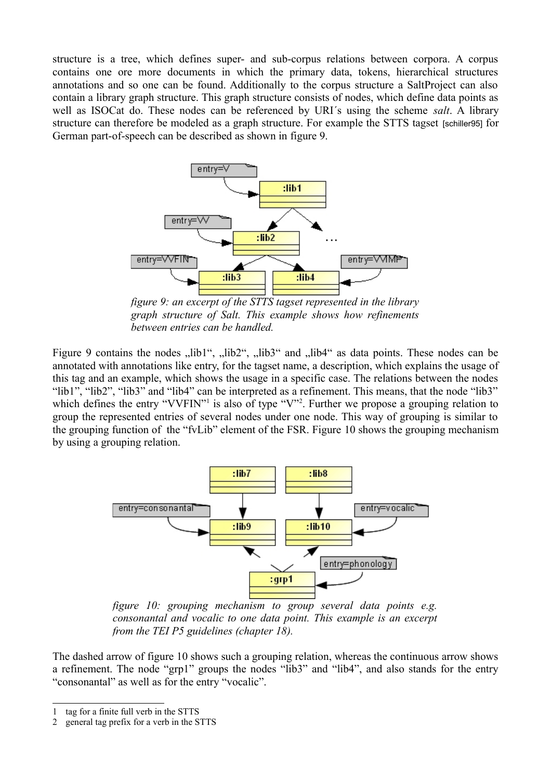structure is a tree, which defines super- and sub-corpus relations between corpora. A corpus contains one ore more documents in which the primary data, tokens, hierarchical structures annotations and so one can be found. Additionally to the corpus structure a SaltProject can also contain a library graph structure. This graph structure consists of nodes, which define data points as well as ISOCat do. These nodes can be referenced by URI´s using the scheme *salt*. A library structure can therefore be modeled as a graph structure. For example the STTS tagset [\[schiller95\]](#page-12-15) for German part-of-speech can be described as shown in [figure 9.](#page-8-1)



<span id="page-8-1"></span>*figure 9: an excerpt of the STTS tagset represented in the library graph structure of Salt. This example shows how refinements between entries can be handled.*

Figure [9](#page-8-1) contains the nodes "lib1", "lib2", "lib3" and "lib4" as data points. These nodes can be annotated with annotations like entry, for the tagset name, a description, which explains the usage of this tag and an example, which shows the usage in a specific case. The relations between the nodes "lib1", "lib2", "lib3" and "lib4" can be interpreted as a refinement. This means, that the node "lib3" which defines the entry "VVFIN"<sup>[1](#page-8-2)</sup> is also of type "V"<sup>[2](#page-8-3)</sup>. Further we propose a grouping relation to group the represented entries of several nodes under one node. This way of grouping is similar to the grouping function of the "fvLib" element of the FSR. Figure [10](#page-8-0) shows the grouping mechanism by using a grouping relation.



<span id="page-8-0"></span>*figure 10: grouping mechanism to group several data points e.g. consonantal and vocalic to one data point. This example is an excerpt from the TEI P5 guidelines (chapter 18).* 

The dashed arrow of [figure 10](#page-8-0) shows such a grouping relation, whereas the continuous arrow shows a refinement. The node "grp1" groups the nodes "lib3" and "lib4", and also stands for the entry "consonantal" as well as for the entry "vocalic".

<span id="page-8-2"></span><sup>1</sup> tag for a finite full verb in the STTS

<span id="page-8-3"></span><sup>2</sup> general tag prefix for a verb in the STTS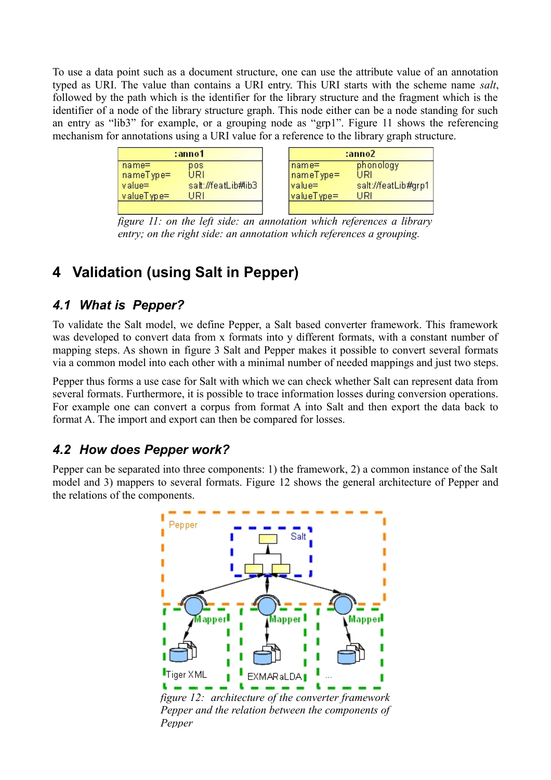To use a data point such as a document structure, one can use the attribute value of an annotation typed as URI. The value than contains a URI entry. This URI starts with the scheme name *salt*, followed by the path which is the identifier for the library structure and the fragment which is the identifier of a node of the library structure graph. This node either can be a node standing for such an entry as "lib3" for example, or a grouping node as "grp1". Figure 11 shows the referencing mechanism for annotations using a URI value for a reference to the library graph structure.

| :anno1                           |            | :anno2              |  |  |
|----------------------------------|------------|---------------------|--|--|
| $name=$<br>pos                   | ∣name=     | phonology           |  |  |
| URI<br>nameType=                 | nameType=  | URI                 |  |  |
| salt://featLib#lib3<br>$value =$ | value=     | salt://featLib#grp1 |  |  |
| valueType=<br>URI                | valueType= | URI                 |  |  |
|                                  |            |                     |  |  |

*figure 11: on the left side: an annotation which references a library entry; on the right side: an annotation which references a grouping.* 

# **4 Validation (using Salt in Pepper)**

### *4.1 What is Pepper?*

To validate the Salt model, we define Pepper, a Salt based converter framework. This framework was developed to convert data from x formats into y different formats, with a constant number of mapping steps. As shown in [figure 3](#page-3-1) Salt and Pepper makes it possible to convert several formats via a common model into each other with a minimal number of needed mappings and just two steps.

Pepper thus forms a use case for Salt with which we can check whether Salt can represent data from several formats. Furthermore, it is possible to trace information losses during conversion operations. For example one can convert a corpus from format A into Salt and then export the data back to format A. The import and export can then be compared for losses.

### *4.2 How does Pepper work?*

Pepper can be separated into three components: 1) the framework, 2) a common instance of the Salt model and 3) mappers to several formats. Figure [12](#page-9-0) shows the general architecture of Pepper and the relations of the components.



<span id="page-9-0"></span>*figure 12: architecture of the converter framework Pepper and the relation between the components of Pepper*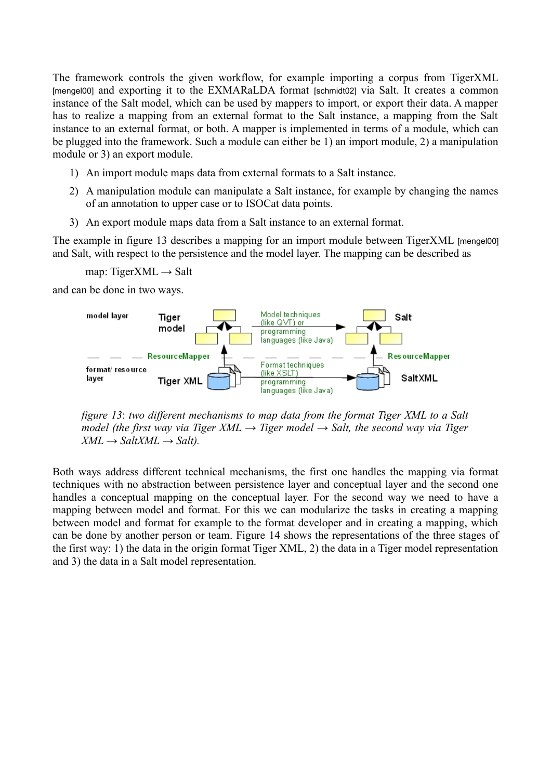The framework controls the given workflow, for example importing a corpus from TigerXML [\[mengel00\]](#page-12-6) and exporting it to the EXMARaLDA format [\[schmidt02\]](#page-12-4) via Salt. It creates a common instance of the Salt model, which can be used by mappers to import, or export their data. A mapper has to realize a mapping from an external format to the Salt instance, a mapping from the Salt instance to an external format, or both. A mapper is implemented in terms of a module, which can be plugged into the framework. Such a module can either be 1) an import module, 2) a manipulation module or 3) an export module.

- 1) An import module maps data from external formats to a Salt instance.
- 2) A manipulation module can manipulate a Salt instance, for example by changing the names of an annotation to upper case or to ISOCat data points.
- 3) An export module maps data from a Salt instance to an external format.

The example in [figure 13](#page-10-0) describes a mapping for an import module between TigerXML [\[mengel00\]](#page-12-6) and Salt, with respect to the persistence and the model layer. The mapping can be described as

map: TigerXML  $\rightarrow$  Salt

and can be done in two ways.



<span id="page-10-0"></span>*figure 13*: *two different mechanisms to map data from the format Tiger XML to a Salt model (the first way via Tiger XML → Tiger model → Salt, the second way via Tiger*  $XML \rightarrow SaltXML \rightarrow Salt$ .

Both ways address different technical mechanisms, the first one handles the mapping via format techniques with no abstraction between persistence layer and conceptual layer and the second one handles a conceptual mapping on the conceptual layer. For the second way we need to have a mapping between model and format. For this we can modularize the tasks in creating a mapping between model and format for example to the format developer and in creating a mapping, which can be done by another person or team. Figure [14](#page-11-0) shows the representations of the three stages of the first way: 1) the data in the origin format Tiger XML, 2) the data in a Tiger model representation and 3) the data in a Salt model representation.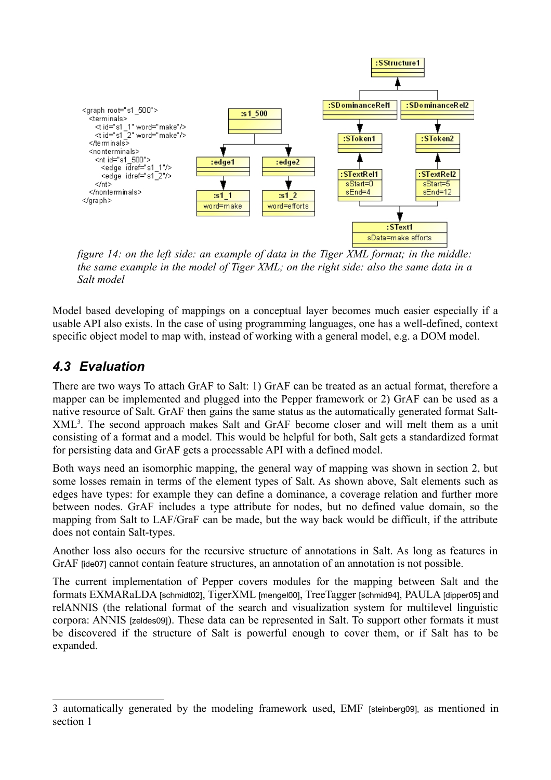

<span id="page-11-0"></span>*figure 14: on the left side: an example of data in the Tiger XML format; in the middle: the same example in the model of Tiger XML; on the right side: also the same data in a Salt model*

Model based developing of mappings on a conceptual layer becomes much easier especially if a usable API also exists. In the case of using programming languages, one has a well-defined, context specific object model to map with, instead of working with a general model, e.g. a DOM model.

### *4.3 Evaluation*

There are two ways To attach GrAF to Salt: 1) GrAF can be treated as an actual format, therefore a mapper can be implemented and plugged into the Pepper framework or 2) GrAF can be used as a native resource of Salt. GrAF then gains the same status as the automatically generated format Salt-XML[3](#page-11-1) . The second approach makes Salt and GrAF become closer and will melt them as a unit consisting of a format and a model. This would be helpful for both, Salt gets a standardized format for persisting data and GrAF gets a processable API with a defined model.

Both ways need an isomorphic mapping, the general way of mapping was shown in section 2, but some losses remain in terms of the element types of Salt. As shown above, Salt elements such as edges have types: for example they can define a dominance, a coverage relation and further more between nodes. GrAF includes a type attribute for nodes, but no defined value domain, so the mapping from Salt to LAF/GraF can be made, but the way back would be difficult, if the attribute does not contain Salt-types.

Another loss also occurs for the recursive structure of annotations in Salt. As long as features in GrAF  $[ide07]$  cannot contain feature structures, an annotation of an annotation is not possible.

The current implementation of Pepper covers modules for the mapping between Salt and the formats EXMARaLDA [\[schmidt02\]](#page-12-4), TigerXML [\[mengel00\]](#page-12-6), TreeTagger [\[schmid94\]](#page-12-12), PAULA [\[dipper05\]](#page-12-11) and relANNIS (the relational format of the search and visualization system for multilevel linguistic corpora: ANNIS [\[zeldes09\]](#page-12-5)). These data can be represented in Salt. To support other formats it must be discovered if the structure of Salt is powerful enough to cover them, or if Salt has to be expanded.

<span id="page-11-1"></span><sup>3</sup> automatically generated by the modeling framework used, EMF [\[steinberg09\],](#page-12-7) as mentioned in section 1